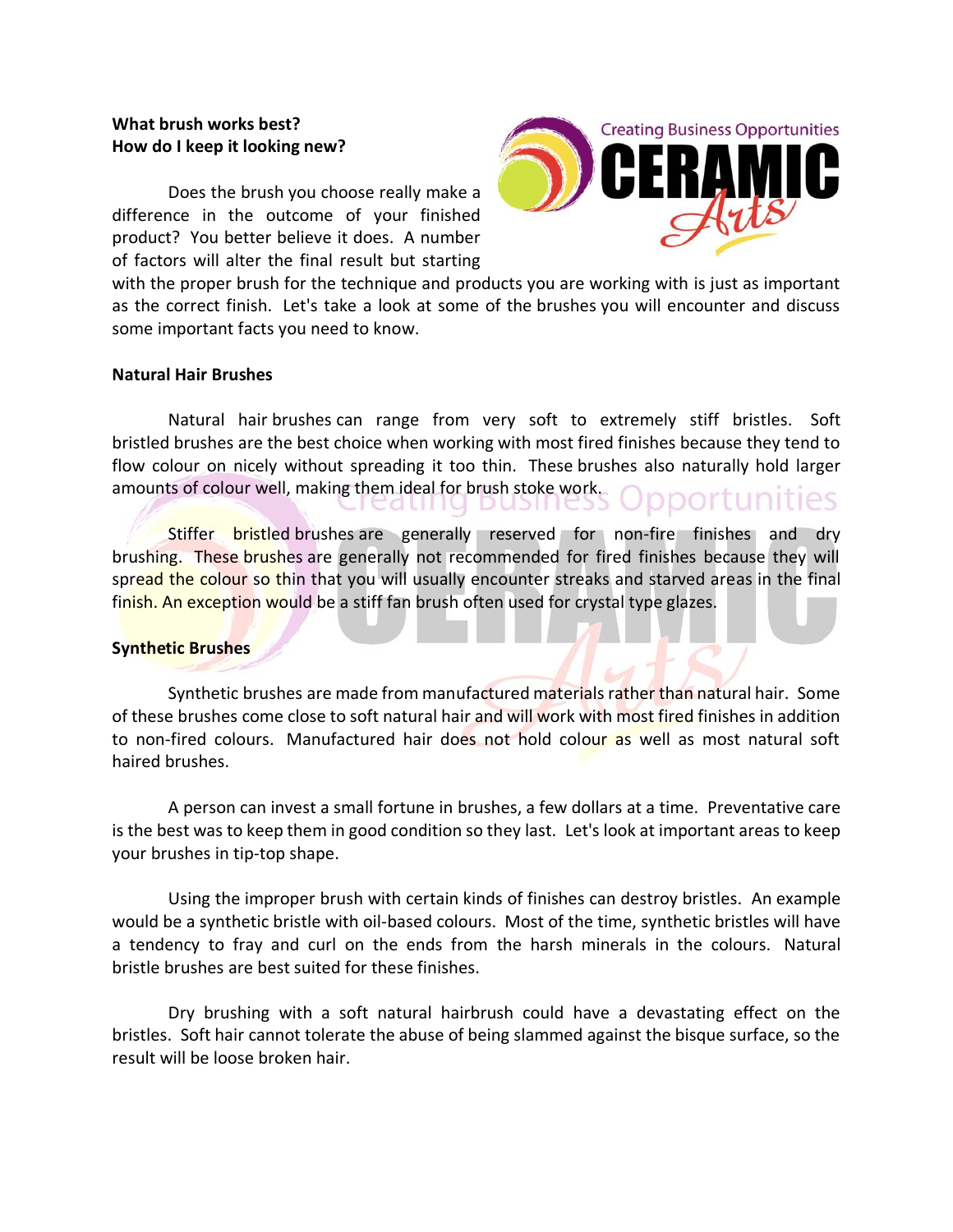# **What brush works best? How do I keep it looking new?**

Does the brush you choose really make a difference in the outcome of your finished product? You better believe it does. A number of factors will alter the final result but starting



with the proper brush for the technique and products you are working with is just as important as the correct finish. Let's take a look at some of the brushes you will encounter and discuss some important facts you need to know.

## **Natural Hair Brushes**

Natural hair brushes can range from very soft to extremely stiff bristles. Soft bristled brushes are the best choice when working with most fired finishes because they tend to flow colour on nicely without spreading it too thin. These brushes also naturally hold larger amounts of colour well, making them ideal for brush stoke work.

Stiffer bristled brushes are generally reserved for non-fire finishes and dry brushing. These brushes are generally not recommended for fired finishes because they will spread the colour so thin that you will usually encounter streaks and starved areas in the final finish. An exception would be a stiff fan brush often used for crystal type glazes.

## **Synthetic Brushes**

Synthetic brushes are made from manufactured materials rather than natural hair. Some of these brushes come close to soft natural hair and will work with most fired finishes in addition to non-fired colours. Manufactured hair does not hold colour as well as most natural soft haired brushes.

A person can invest a small fortune in brushes, a few dollars at a time. Preventative care is the best was to keep them in good condition so they last. Let's look at important areas to keep your brushes in tip-top shape.

Using the improper brush with certain kinds of finishes can destroy bristles. An example would be a synthetic bristle with oil-based colours. Most of the time, synthetic bristles will have a tendency to fray and curl on the ends from the harsh minerals in the colours. Natural bristle brushes are best suited for these finishes.

Dry brushing with a soft natural hairbrush could have a devastating effect on the bristles. Soft hair cannot tolerate the abuse of being slammed against the bisque surface, so the result will be loose broken hair.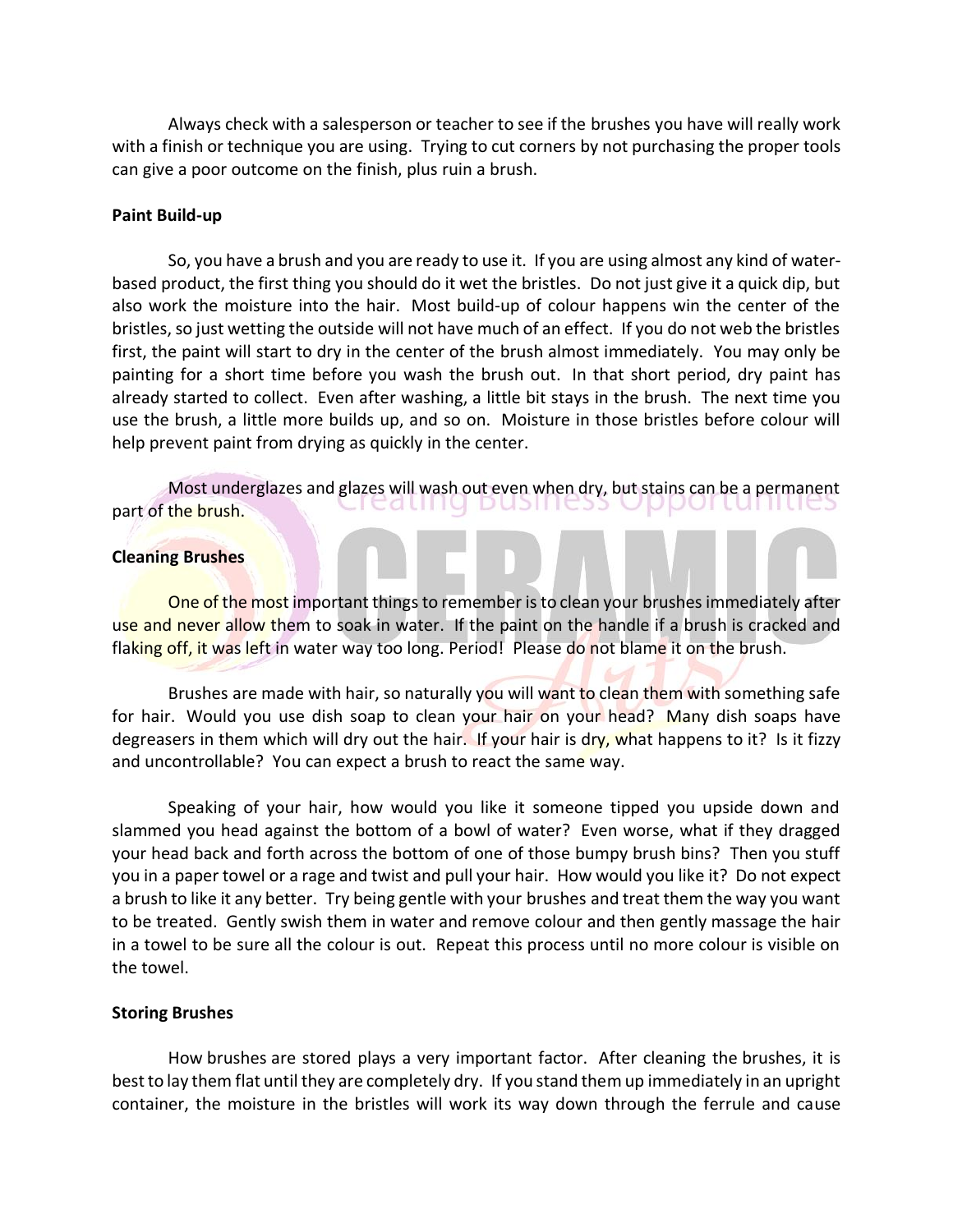Always check with a salesperson or teacher to see if the brushes you have will really work with a finish or technique you are using. Trying to cut corners by not purchasing the proper tools can give a poor outcome on the finish, plus ruin a brush.

## **Paint Build-up**

So, you have a brush and you are ready to use it. If you are using almost any kind of waterbased product, the first thing you should do it wet the bristles. Do not just give it a quick dip, but also work the moisture into the hair. Most build-up of colour happens win the center of the bristles, so just wetting the outside will not have much of an effect. If you do not web the bristles first, the paint will start to dry in the center of the brush almost immediately. You may only be painting for a short time before you wash the brush out. In that short period, dry paint has already started to collect. Even after washing, a little bit stays in the brush. The next time you use the brush, a little more builds up, and so on. Moisture in those bristles before colour will help prevent paint from drying as quickly in the center.

Most underglazes and glazes will wash out even when dry, but stains can be a permanent part of the brush.

#### **Cleaning Brushes**

One of the most important things to remember is to clean your brushes immediately after use and never allow them to soak in water. If the paint on the handle if a brush is cracked and flaking off, it was left in water way too long. Period! Please do not blame it on the brush.

Brushes are made with hair, so naturally you will want to clean them with something safe for hair. Would you use dish soap to clean your hair on your head? Many dish soaps have degreasers in them which will dry out the hair. If your hair is dry, what happens to it? Is it fizzy and uncontrollable? You can expect a brush to react the same way.

Speaking of your hair, how would you like it someone tipped you upside down and slammed you head against the bottom of a bowl of water? Even worse, what if they dragged your head back and forth across the bottom of one of those bumpy brush bins? Then you stuff you in a paper towel or a rage and twist and pull your hair. How would you like it? Do not expect a brush to like it any better. Try being gentle with your brushes and treat them the way you want to be treated. Gently swish them in water and remove colour and then gently massage the hair in a towel to be sure all the colour is out. Repeat this process until no more colour is visible on the towel.

#### **Storing Brushes**

How brushes are stored plays a very important factor. After cleaning the brushes, it is best to lay them flat until they are completely dry. If you stand them up immediately in an upright container, the moisture in the bristles will work its way down through the ferrule and cause